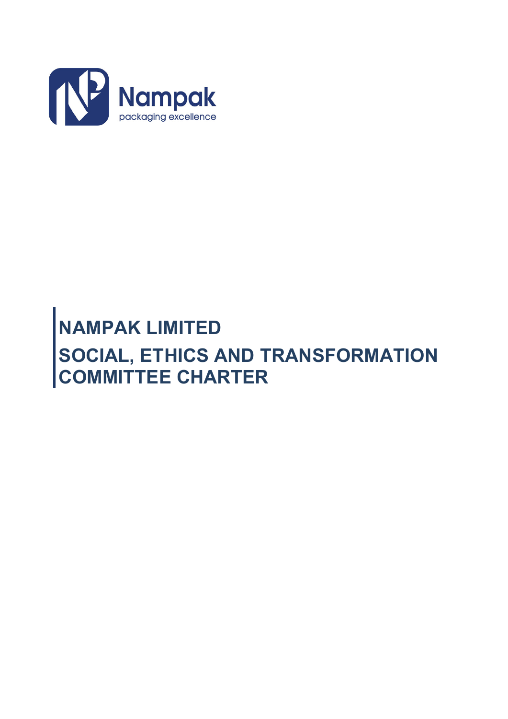

# **NAMPAK LIMITED SOCIAL, ETHICS AND TRANSFORMATION COMMITTEE CHARTER**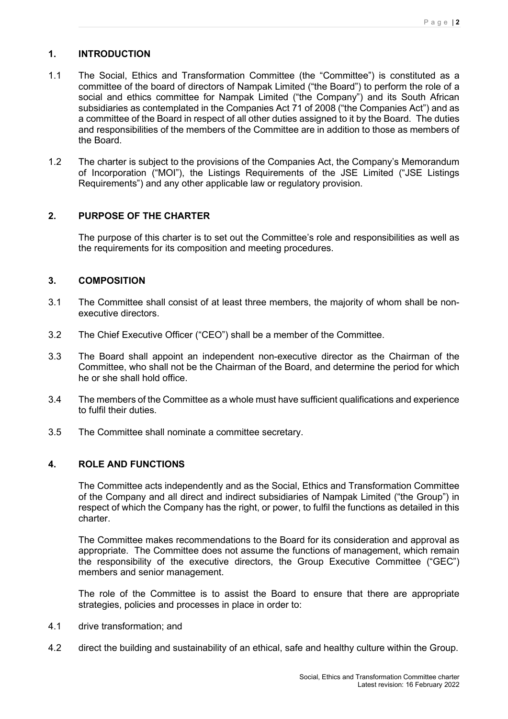# **1. INTRODUCTION**

- 1.1 The Social, Ethics and Transformation Committee (the "Committee") is constituted as a committee of the board of directors of Nampak Limited ("the Board") to perform the role of a social and ethics committee for Nampak Limited ("the Company") and its South African subsidiaries as contemplated in the Companies Act 71 of 2008 ("the Companies Act") and as a committee of the Board in respect of all other duties assigned to it by the Board. The duties and responsibilities of the members of the Committee are in addition to those as members of the Board.
- 1.2 The charter is subject to the provisions of the Companies Act, the Company's Memorandum of Incorporation ("MOI"), the Listings Requirements of the JSE Limited ("JSE Listings Requirements") and any other applicable law or regulatory provision.

## **2. PURPOSE OF THE CHARTER**

The purpose of this charter is to set out the Committee's role and responsibilities as well as the requirements for its composition and meeting procedures.

## **3. COMPOSITION**

- 3.1 The Committee shall consist of at least three members, the majority of whom shall be nonexecutive directors.
- 3.2 The Chief Executive Officer ("CEO") shall be a member of the Committee.
- 3.3 The Board shall appoint an independent non-executive director as the Chairman of the Committee, who shall not be the Chairman of the Board, and determine the period for which he or she shall hold office.
- 3.4 The members of the Committee as a whole must have sufficient qualifications and experience to fulfil their duties.
- 3.5 The Committee shall nominate a committee secretary.

# **4. ROLE AND FUNCTIONS**

The Committee acts independently and as the Social, Ethics and Transformation Committee of the Company and all direct and indirect subsidiaries of Nampak Limited ("the Group") in respect of which the Company has the right, or power, to fulfil the functions as detailed in this charter.

The Committee makes recommendations to the Board for its consideration and approval as appropriate. The Committee does not assume the functions of management, which remain the responsibility of the executive directors, the Group Executive Committee ("GEC") members and senior management.

The role of the Committee is to assist the Board to ensure that there are appropriate strategies, policies and processes in place in order to:

- 4.1 drive transformation; and
- 4.2 direct the building and sustainability of an ethical, safe and healthy culture within the Group.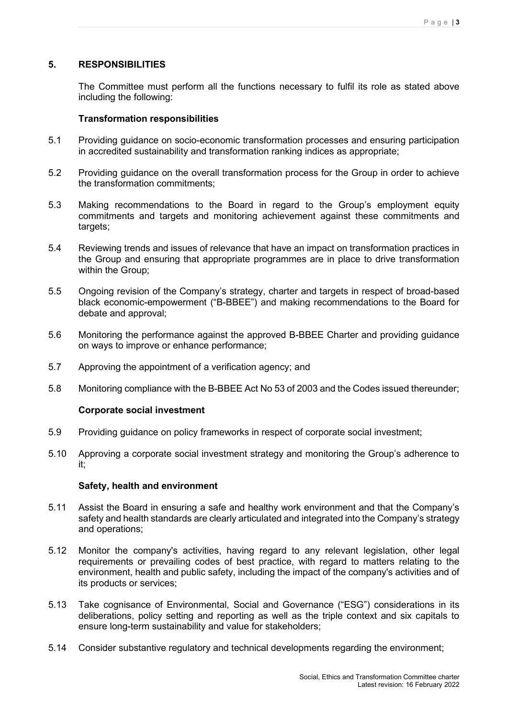# **5. RESPONSIBILITIES**

The Committee must perform all the functions necessary to fulfil its role as stated above including the following:

#### **Transformation responsibilities**

- 5.1 Providing guidance on socio-economic transformation processes and ensuring participation in accredited sustainability and transformation ranking indices as appropriate;
- 5.2 Providing guidance on the overall transformation process for the Group in order to achieve the transformation commitments;
- 5.3 Making recommendations to the Board in regard to the Group's employment equity commitments and targets and monitoring achievement against these commitments and targets:
- 5.4 Reviewing trends and issues of relevance that have an impact on transformation practices in the Group and ensuring that appropriate programmes are in place to drive transformation within the Group;
- 5.5 Ongoing revision of the Company's strategy, charter and targets in respect of broad-based black economic-empowerment ("B-BBEE") and making recommendations to the Board for debate and approval;
- 5.6 Monitoring the performance against the approved B-BBEE Charter and providing guidance on ways to improve or enhance performance;
- 5.7 Approving the appointment of a verification agency; and
- 5.8 Monitoring compliance with the B-BBEE Act No 53 of 2003 and the Codes issued thereunder;

#### **Corporate social investment**

- 5.9 Providing guidance on policy frameworks in respect of corporate social investment;
- 5.10 Approving a corporate social investment strategy and monitoring the Group's adherence to it;

#### **Safety, health and environment**

- 5.11 Assist the Board in ensuring a safe and healthy work environment and that the Company's safety and health standards are clearly articulated and integrated into the Company's strategy and operations;
- 5.12 Monitor the company's activities, having regard to any relevant legislation, other legal requirements or prevailing codes of best practice, with regard to matters relating to the environment, health and public safety, including the impact of the company's activities and of its products or services;
- 5.13 Take cognisance of Environmental, Social and Governance ("ESG") considerations in its deliberations, policy setting and reporting as well as the triple context and six capitals to ensure long-term sustainability and value for stakeholders;
- 5.14 Consider substantive regulatory and technical developments regarding the environment;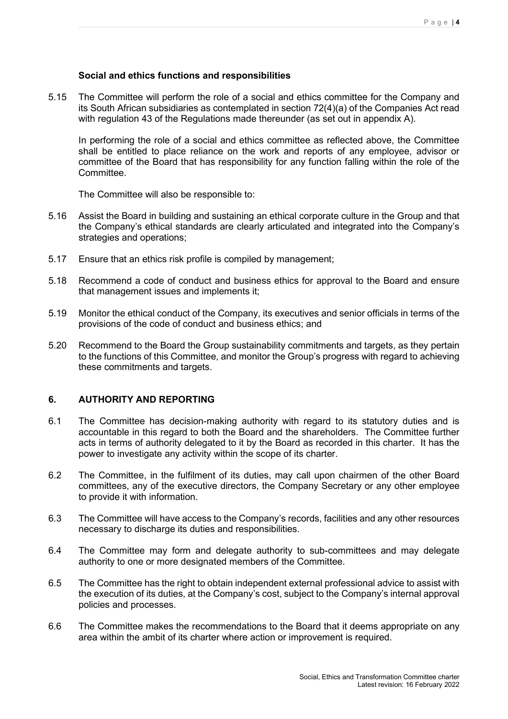### **Social and ethics functions and responsibilities**

5.15 The Committee will perform the role of a social and ethics committee for the Company and its South African subsidiaries as contemplated in section 72(4)(a) of the Companies Act read with regulation 43 of the Regulations made thereunder (as set out in appendix A).

In performing the role of a social and ethics committee as reflected above, the Committee shall be entitled to place reliance on the work and reports of any employee, advisor or committee of the Board that has responsibility for any function falling within the role of the Committee.

The Committee will also be responsible to:

- 5.16 Assist the Board in building and sustaining an ethical corporate culture in the Group and that the Company's ethical standards are clearly articulated and integrated into the Company's strategies and operations;
- 5.17 Ensure that an ethics risk profile is compiled by management;
- 5.18 Recommend a code of conduct and business ethics for approval to the Board and ensure that management issues and implements it;
- 5.19 Monitor the ethical conduct of the Company, its executives and senior officials in terms of the provisions of the code of conduct and business ethics; and
- 5.20 Recommend to the Board the Group sustainability commitments and targets, as they pertain to the functions of this Committee, and monitor the Group's progress with regard to achieving these commitments and targets.

## **6. AUTHORITY AND REPORTING**

- 6.1 The Committee has decision-making authority with regard to its statutory duties and is accountable in this regard to both the Board and the shareholders. The Committee further acts in terms of authority delegated to it by the Board as recorded in this charter. It has the power to investigate any activity within the scope of its charter.
- 6.2 The Committee, in the fulfilment of its duties, may call upon chairmen of the other Board committees, any of the executive directors, the Company Secretary or any other employee to provide it with information.
- 6.3 The Committee will have access to the Company's records, facilities and any other resources necessary to discharge its duties and responsibilities.
- 6.4 The Committee may form and delegate authority to sub-committees and may delegate authority to one or more designated members of the Committee.
- 6.5 The Committee has the right to obtain independent external professional advice to assist with the execution of its duties, at the Company's cost, subject to the Company's internal approval policies and processes.
- 6.6 The Committee makes the recommendations to the Board that it deems appropriate on any area within the ambit of its charter where action or improvement is required.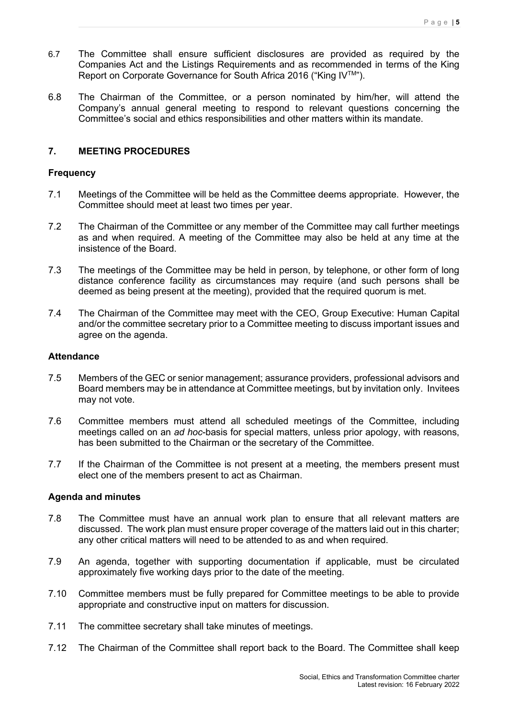- 6.7 The Committee shall ensure sufficient disclosures are provided as required by the Companies Act and the Listings Requirements and as recommended in terms of the King Report on Corporate Governance for South Africa 2016 ("King IVTM").
- 6.8 The Chairman of the Committee, or a person nominated by him/her, will attend the Company's annual general meeting to respond to relevant questions concerning the Committee's social and ethics responsibilities and other matters within its mandate.

# **7. MEETING PROCEDURES**

### **Frequency**

- 7.1 Meetings of the Committee will be held as the Committee deems appropriate. However, the Committee should meet at least two times per year.
- 7.2 The Chairman of the Committee or any member of the Committee may call further meetings as and when required. A meeting of the Committee may also be held at any time at the insistence of the Board.
- 7.3 The meetings of the Committee may be held in person, by telephone, or other form of long distance conference facility as circumstances may require (and such persons shall be deemed as being present at the meeting), provided that the required quorum is met.
- 7.4 The Chairman of the Committee may meet with the CEO, Group Executive: Human Capital and/or the committee secretary prior to a Committee meeting to discuss important issues and agree on the agenda.

#### **Attendance**

- 7.5 Members of the GEC or senior management; assurance providers, professional advisors and Board members may be in attendance at Committee meetings, but by invitation only. Invitees may not vote.
- 7.6 Committee members must attend all scheduled meetings of the Committee, including meetings called on an *ad hoc*-basis for special matters, unless prior apology, with reasons, has been submitted to the Chairman or the secretary of the Committee.
- 7.7 If the Chairman of the Committee is not present at a meeting, the members present must elect one of the members present to act as Chairman.

#### **Agenda and minutes**

- 7.8 The Committee must have an annual work plan to ensure that all relevant matters are discussed. The work plan must ensure proper coverage of the matters laid out in this charter; any other critical matters will need to be attended to as and when required.
- 7.9 An agenda, together with supporting documentation if applicable, must be circulated approximately five working days prior to the date of the meeting.
- 7.10 Committee members must be fully prepared for Committee meetings to be able to provide appropriate and constructive input on matters for discussion.
- 7.11 The committee secretary shall take minutes of meetings.
- 7.12 The Chairman of the Committee shall report back to the Board. The Committee shall keep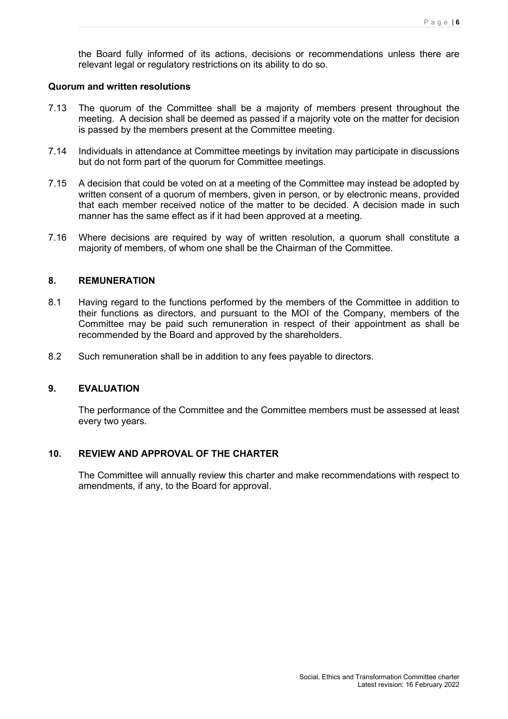the Board fully informed of its actions, decisions or recommendations unless there are relevant legal or regulatory restrictions on its ability to do so.

#### **Quorum and written resolutions**

- 7.13 The quorum of the Committee shall be a majority of members present throughout the meeting. A decision shall be deemed as passed if a majority vote on the matter for decision is passed by the members present at the Committee meeting.
- 7.14 Individuals in attendance at Committee meetings by invitation may participate in discussions but do not form part of the quorum for Committee meetings.
- 7.15 A decision that could be voted on at a meeting of the Committee may instead be adopted by written consent of a quorum of members, given in person, or by electronic means, provided that each member received notice of the matter to be decided. A decision made in such manner has the same effect as if it had been approved at a meeting.
- 7.16 Where decisions are required by way of written resolution, a quorum shall constitute a majority of members, of whom one shall be the Chairman of the Committee.

## **8. REMUNERATION**

- 8.1 Having regard to the functions performed by the members of the Committee in addition to their functions as directors, and pursuant to the MOI of the Company, members of the Committee may be paid such remuneration in respect of their appointment as shall be recommended by the Board and approved by the shareholders.
- 8.2 Such remuneration shall be in addition to any fees payable to directors.

# **9. EVALUATION**

The performance of the Committee and the Committee members must be assessed at least every two years.

## **10. REVIEW AND APPROVAL OF THE CHARTER**

The Committee will annually review this charter and make recommendations with respect to amendments, if any, to the Board for approval.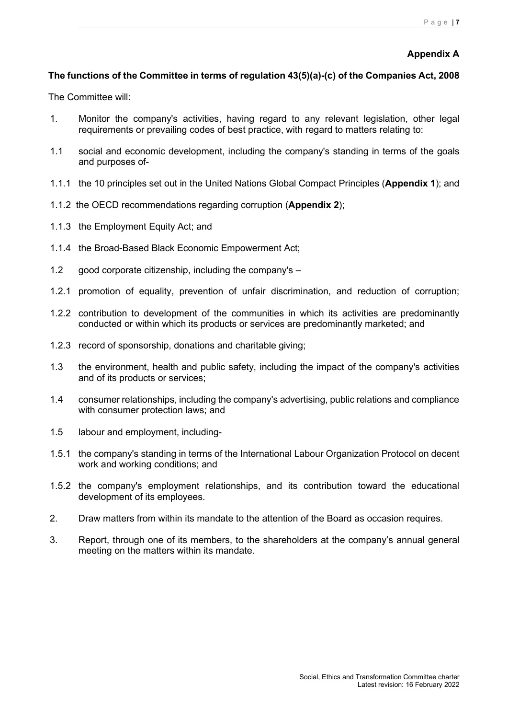## **Appendix A**

# **The functions of the Committee in terms of regulation 43(5)(a)-(c) of the Companies Act, 2008**

The Committee will:

- 1. Monitor the company's activities, having regard to any relevant legislation, other legal requirements or prevailing codes of best practice, with regard to matters relating to:
- 1.1 social and economic development, including the company's standing in terms of the goals and purposes of-
- 1.1.1 the 10 principles set out in the United Nations Global Compact Principles (**Appendix 1**); and
- 1.1.2 the OECD recommendations regarding corruption (**Appendix 2**);
- 1.1.3 the Employment Equity Act; and
- 1.1.4 the Broad-Based Black Economic Empowerment Act;
- 1.2 good corporate citizenship, including the company's  $-$
- 1.2.1 promotion of equality, prevention of unfair discrimination, and reduction of corruption;
- 1.2.2 contribution to development of the communities in which its activities are predominantly conducted or within which its products or services are predominantly marketed; and
- 1.2.3 record of sponsorship, donations and charitable giving;
- 1.3 the environment, health and public safety, including the impact of the company's activities and of its products or services;
- 1.4 consumer relationships, including the company's advertising, public relations and compliance with consumer protection laws; and
- 1.5 labour and employment, including-
- 1.5.1 the company's standing in terms of the International Labour Organization Protocol on decent work and working conditions; and
- 1.5.2 the company's employment relationships, and its contribution toward the educational development of its employees.
- 2. Draw matters from within its mandate to the attention of the Board as occasion requires.
- 3. Report, through one of its members, to the shareholders at the company's annual general meeting on the matters within its mandate.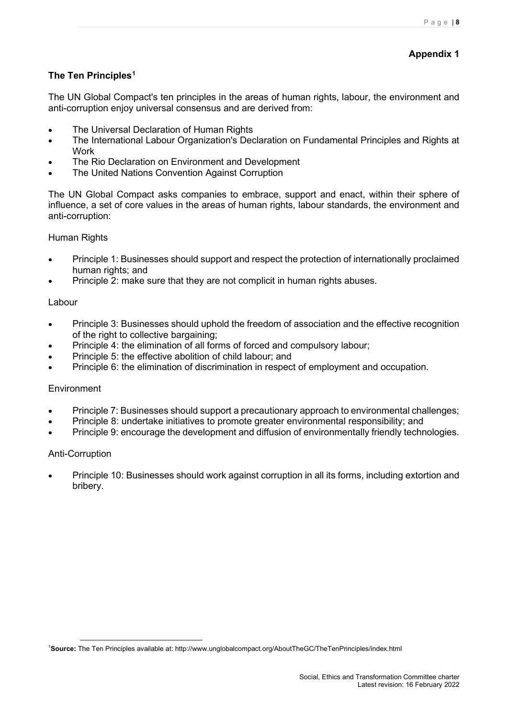# **Appendix 1**

# **The Ten Principles[1](#page-7-0)**

The UN Global Compact's ten principles in the areas of human rights, labour, the environment and anti-corruption enjoy universal consensus and are derived from:

- [The Universal Declaration of Human Rights](http://www.un.org/Overview/rights.html)
- The International Labour Organization's Declaration on Fundamental Principles and Rights at **[Work](http://www.ilo.org/public/english/standards/decl/declaration/text/)**
- [The Rio Declaration on Environment and Development](http://www.un.org/esa/sustdev/agenda21.htm)
- [The United Nations Convention Against Corruption](http://www.unodc.org/unodc/en/treaties/CAC/index.html)

The UN Global Compact asks companies to embrace, support and enact, within their sphere of influence, a set of core values in the areas of human rights, labour standards, the environment and anti-corruption:

#### [Human Rights](http://www.unglobalcompact.org/AboutTheGC/TheTenPrinciples/humanRights.html)

- [Principle 1:](http://www.unglobalcompact.org/AboutTheGC/TheTenPrinciples/principle1.html) Businesses should support and respect the protection of internationally proclaimed human rights; and
- [Principle 2:](http://www.unglobalcompact.org/AboutTheGC/TheTenPrinciples/Principle2.html) make sure that they are not complicit in human rights abuses.

#### [Labour](http://www.unglobalcompact.org/AboutTheGC/TheTenPrinciples/labour.html)

- [Principle 3:](http://www.unglobalcompact.org/AboutTheGC/TheTenPrinciples/principle3.html) Businesses should uphold the freedom of association and the effective recognition of the right to collective bargaining;
- [Principle 4:](http://www.unglobalcompact.org/AboutTheGC/TheTenPrinciples/Principle4.html) the elimination of all forms of forced and compulsory labour;
- [Principle 5:](http://www.unglobalcompact.org/AboutTheGC/TheTenPrinciples/principle5.html) the effective abolition of child labour; and
- [Principle 6:](http://www.unglobalcompact.org/AboutTheGC/TheTenPrinciples/principle6.html) the elimination of discrimination in respect of employment and occupation.

#### **[Environment](http://www.unglobalcompact.org/AboutTheGC/TheTenPrinciples/environment.html)**

- [Principle 7:](http://www.unglobalcompact.org/AboutTheGC/TheTenPrinciples/principle7.html) Businesses should support a precautionary approach to environmental challenges;
- [Principle 8:](http://www.unglobalcompact.org/AboutTheGC/TheTenPrinciples/principle8.html) undertake initiatives to promote greater environmental responsibility; and
- [Principle 9:](http://www.unglobalcompact.org/AboutTheGC/TheTenPrinciples/principle9.html) encourage the development and diffusion of environmentally friendly technologies.

#### [Anti-Corruption](http://www.unglobalcompact.org/AboutTheGC/TheTenPrinciples/anti-corruption.html)

• [Principle 10:](http://www.unglobalcompact.org/AboutTheGC/TheTenPrinciples/principle10.html) Businesses should work against corruption in all its forms, including extortion and bribery.

<span id="page-7-0"></span><sup>1</sup> **Source:** The Ten Principles available at: http://www.unglobalcompact.org/AboutTheGC/TheTenPrinciples/index.html